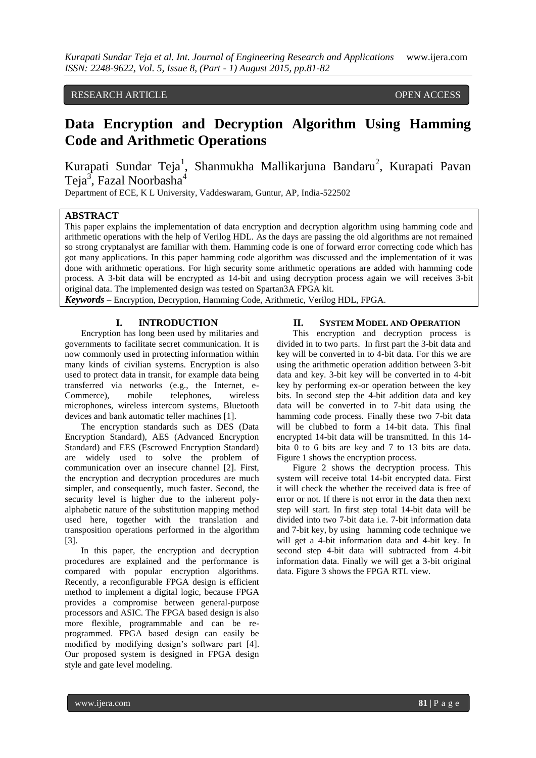## RESEARCH ARTICLE **CONSERVERS** OPEN ACCESS

# **Data Encryption and Decryption Algorithm Using Hamming Code and Arithmetic Operations**

Kurapati Sundar Teja<sup>1</sup>, Shanmukha Mallikarjuna Bandaru<sup>2</sup>, Kurapati Pavan Teja $^3$ , Fazal Noorbasha $^4$ 

Department of ECE, K L University, Vaddeswaram, Guntur, AP, India-522502

#### **ABSTRACT**

This paper explains the implementation of data encryption and decryption algorithm using hamming code and arithmetic operations with the help of Verilog HDL. As the days are passing the old algorithms are not remained so strong cryptanalyst are familiar with them. Hamming code is one of forward error correcting code which has got many applications. In this paper hamming code algorithm was discussed and the implementation of it was done with arithmetic operations. For high security some arithmetic operations are added with hamming code process. A 3-bit data will be encrypted as 14-bit and using decryption process again we will receives 3-bit original data. The implemented design was tested on Spartan3A FPGA kit.

*Keywords* **–** Encryption, Decryption, Hamming Code, Arithmetic, Verilog HDL, FPGA.

#### **I. INTRODUCTION**

Encryption has long been used by militaries and governments to facilitate secret communication. It is now commonly used in protecting information within many kinds of civilian systems. Encryption is also used to protect data in transit, for example data being transferred via networks (e.g., the Internet, e-Commerce), mobile telephones, wireless microphones, wireless intercom systems, Bluetooth devices and bank automatic teller machines [1].

The encryption standards such as DES (Data Encryption Standard), AES (Advanced Encryption Standard) and EES (Escrowed Encryption Standard) are widely used to solve the problem of communication over an insecure channel [2]. First, the encryption and decryption procedures are much simpler, and consequently, much faster. Second, the security level is higher due to the inherent polyalphabetic nature of the substitution mapping method used here, together with the translation and transposition operations performed in the algorithm [3].

In this paper, the encryption and decryption procedures are explained and the performance is compared with popular encryption algorithms. Recently, a reconfigurable FPGA design is efficient method to implement a digital logic, because FPGA provides a compromise between general-purpose processors and ASIC. The FPGA based design is also more flexible, programmable and can be reprogrammed. FPGA based design can easily be modified by modifying design's software part [4]. Our proposed system is designed in FPGA design style and gate level modeling.

#### **II. SYSTEM MODEL AND OPERATION**

This encryption and decryption process is divided in to two parts. In first part the 3-bit data and key will be converted in to 4-bit data. For this we are using the arithmetic operation addition between 3-bit data and key. 3-bit key will be converted in to 4-bit key by performing ex-or operation between the key bits. In second step the 4-bit addition data and key data will be converted in to 7-bit data using the hamming code process. Finally these two 7-bit data will be clubbed to form a 14-bit data. This final encrypted 14-bit data will be transmitted. In this 14 bita 0 to 6 bits are key and 7 to 13 bits are data. Figure 1 shows the encryption process.

Figure 2 shows the decryption process. This system will receive total 14-bit encrypted data. First it will check the whether the received data is free of error or not. If there is not error in the data then next step will start. In first step total 14-bit data will be divided into two 7-bit data i.e. 7-bit information data and 7-bit key, by using hamming code technique we will get a 4-bit information data and 4-bit key. In second step 4-bit data will subtracted from 4-bit information data. Finally we will get a 3-bit original data. Figure 3 shows the FPGA RTL view.